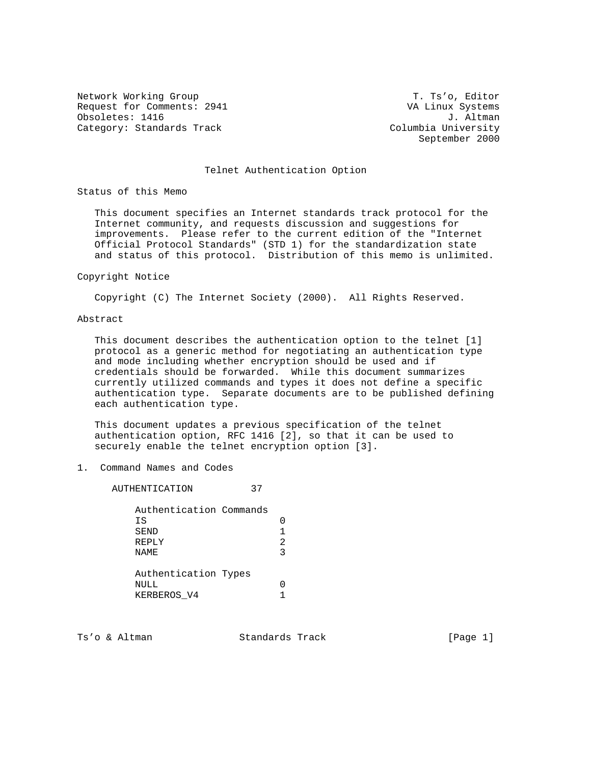Network Working Group T. Ts'o, Editor Request for Comments: 2941 VA Linux Systems Obsoletes: 1416 J. Altman<br>Category: Standards Track Columbia University Category: Standards Track

September 2000

# Telnet Authentication Option

Status of this Memo

 This document specifies an Internet standards track protocol for the Internet community, and requests discussion and suggestions for improvements. Please refer to the current edition of the "Internet Official Protocol Standards" (STD 1) for the standardization state and status of this protocol. Distribution of this memo is unlimited.

#### Copyright Notice

Copyright (C) The Internet Society (2000). All Rights Reserved.

## Abstract

 This document describes the authentication option to the telnet [1] protocol as a generic method for negotiating an authentication type and mode including whether encryption should be used and if credentials should be forwarded. While this document summarizes currently utilized commands and types it does not define a specific authentication type. Separate documents are to be published defining each authentication type.

 This document updates a previous specification of the telnet authentication option, RFC 1416 [2], so that it can be used to securely enable the telnet encryption option [3].

1. Command Names and Codes

 AUTHENTICATION 37 Authentication Commands IS 0 SEND 1 REPLY 2 NAME 3 Authentication Types NULL 0 KERBEROS\_V4 1

Ts'o & Altman  $\sim$  Standards Track [Page 1]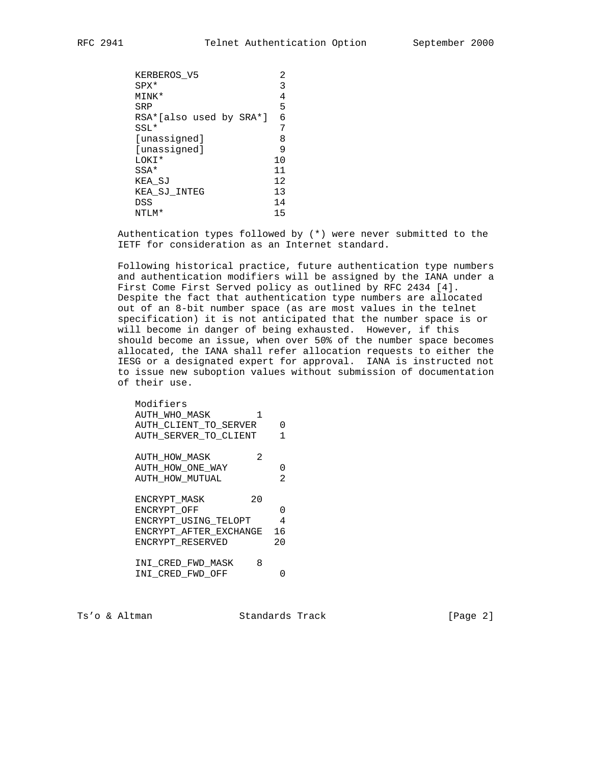| KERBEROS V5             | 2  |
|-------------------------|----|
| SPX*                    | 3  |
| MINK*                   | 4  |
| SRP                     | 5  |
| RSA*[also used by SRA*] | 6  |
| SSL*                    |    |
| [unassigned]            | 8  |
| [unassigned]            | 9  |
| LOKI*                   | 10 |
| $SSA*$                  | 11 |
| KEA SJ                  | 12 |
| KEA SJ INTEG            | 13 |
| DSS                     | 14 |
| NTLM*                   | 15 |
|                         |    |

 Authentication types followed by (\*) were never submitted to the IETF for consideration as an Internet standard.

 Following historical practice, future authentication type numbers and authentication modifiers will be assigned by the IANA under a First Come First Served policy as outlined by RFC 2434 [4]. Despite the fact that authentication type numbers are allocated out of an 8-bit number space (as are most values in the telnet specification) it is not anticipated that the number space is or will become in danger of being exhausted. However, if this should become an issue, when over 50% of the number space becomes allocated, the IANA shall refer allocation requests to either the IESG or a designated expert for approval. IANA is instructed not to issue new suboption values without submission of documentation of their use.

| Modifiers              |                |
|------------------------|----------------|
| AUTH WHO MASK<br>1     |                |
| AUTH CLIENT TO SERVER  | 0              |
| AUTH SERVER_TO_CLIENT  | 1              |
| 2<br>AUTH HOW MASK     |                |
| AUTH_HOW_ONE_WAY       | 0              |
| AUTH HOW MUTUAL        | $\mathfrak{D}$ |
| 20<br>ENCRYPT MASK     |                |
| ENCRYPT OFF            | O              |
| ENCRYPT USING TELOPT   | 4              |
| ENCRYPT AFTER EXCHANGE | 16             |
| ENCRYPT RESERVED       | 20             |
|                        |                |
| 8<br>INI CRED FWD MASK |                |
| INI CRED FWD OFF       |                |

Ts'o & Altman Standards Track [Page 2]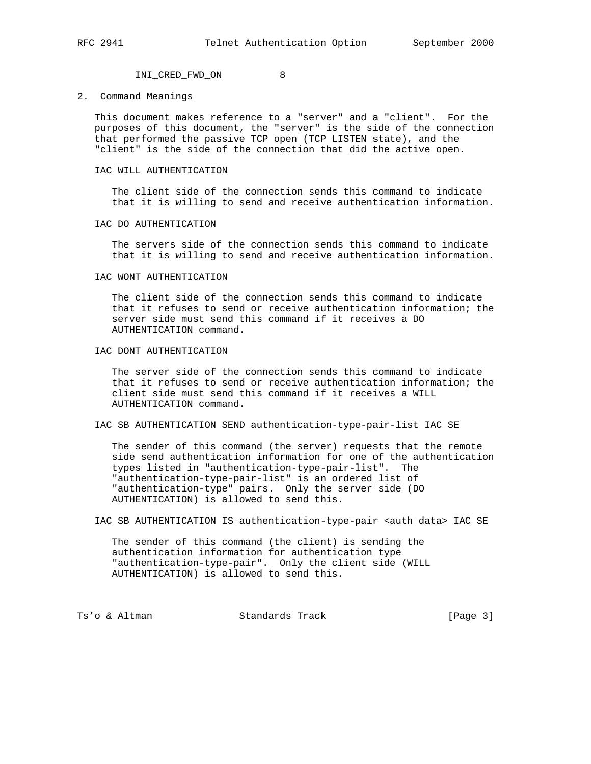INI\_CRED\_FWD\_ON 8

2. Command Meanings

 This document makes reference to a "server" and a "client". For the purposes of this document, the "server" is the side of the connection that performed the passive TCP open (TCP LISTEN state), and the "client" is the side of the connection that did the active open.

#### IAC WILL AUTHENTICATION

 The client side of the connection sends this command to indicate that it is willing to send and receive authentication information.

#### IAC DO AUTHENTICATION

 The servers side of the connection sends this command to indicate that it is willing to send and receive authentication information.

#### IAC WONT AUTHENTICATION

 The client side of the connection sends this command to indicate that it refuses to send or receive authentication information; the server side must send this command if it receives a DO AUTHENTICATION command.

### IAC DONT AUTHENTICATION

 The server side of the connection sends this command to indicate that it refuses to send or receive authentication information; the client side must send this command if it receives a WILL AUTHENTICATION command.

# IAC SB AUTHENTICATION SEND authentication-type-pair-list IAC SE

 The sender of this command (the server) requests that the remote side send authentication information for one of the authentication types listed in "authentication-type-pair-list". The "authentication-type-pair-list" is an ordered list of "authentication-type" pairs. Only the server side (DO AUTHENTICATION) is allowed to send this.

IAC SB AUTHENTICATION IS authentication-type-pair <auth data> IAC SE

 The sender of this command (the client) is sending the authentication information for authentication type "authentication-type-pair". Only the client side (WILL AUTHENTICATION) is allowed to send this.

Ts'o & Altman Standards Track [Page 3]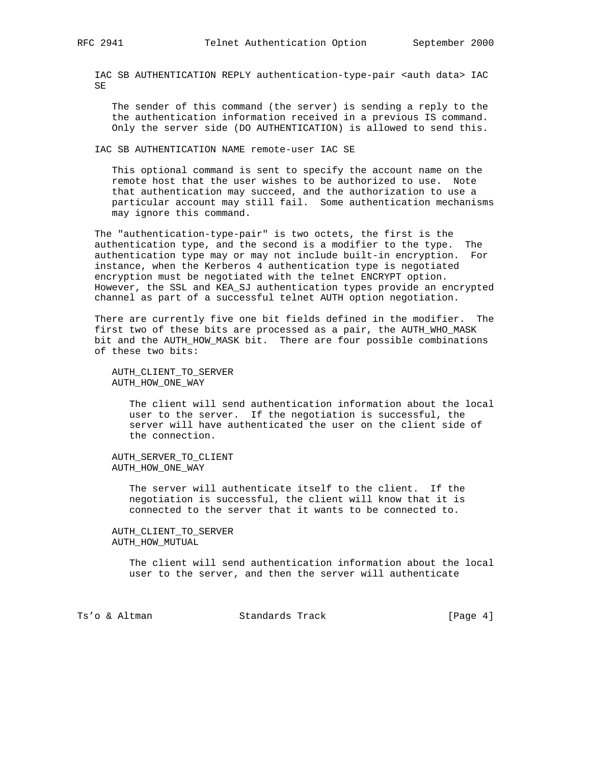IAC SB AUTHENTICATION REPLY authentication-type-pair <auth data> IAC SE

 The sender of this command (the server) is sending a reply to the the authentication information received in a previous IS command. Only the server side (DO AUTHENTICATION) is allowed to send this.

IAC SB AUTHENTICATION NAME remote-user IAC SE

 This optional command is sent to specify the account name on the remote host that the user wishes to be authorized to use. Note that authentication may succeed, and the authorization to use a particular account may still fail. Some authentication mechanisms may ignore this command.

 The "authentication-type-pair" is two octets, the first is the authentication type, and the second is a modifier to the type. The authentication type may or may not include built-in encryption. For instance, when the Kerberos 4 authentication type is negotiated encryption must be negotiated with the telnet ENCRYPT option. However, the SSL and KEA\_SJ authentication types provide an encrypted channel as part of a successful telnet AUTH option negotiation.

 There are currently five one bit fields defined in the modifier. The first two of these bits are processed as a pair, the AUTH\_WHO\_MASK bit and the AUTH\_HOW\_MASK bit. There are four possible combinations of these two bits:

 AUTH\_CLIENT\_TO\_SERVER AUTH\_HOW\_ONE\_WAY

> The client will send authentication information about the local user to the server. If the negotiation is successful, the server will have authenticated the user on the client side of the connection.

 AUTH\_SERVER\_TO\_CLIENT AUTH\_HOW\_ONE\_WAY

> The server will authenticate itself to the client. If the negotiation is successful, the client will know that it is connected to the server that it wants to be connected to.

 AUTH\_CLIENT\_TO\_SERVER AUTH\_HOW\_MUTUAL

> The client will send authentication information about the local user to the server, and then the server will authenticate

Ts'o & Altman Standards Track [Page 4]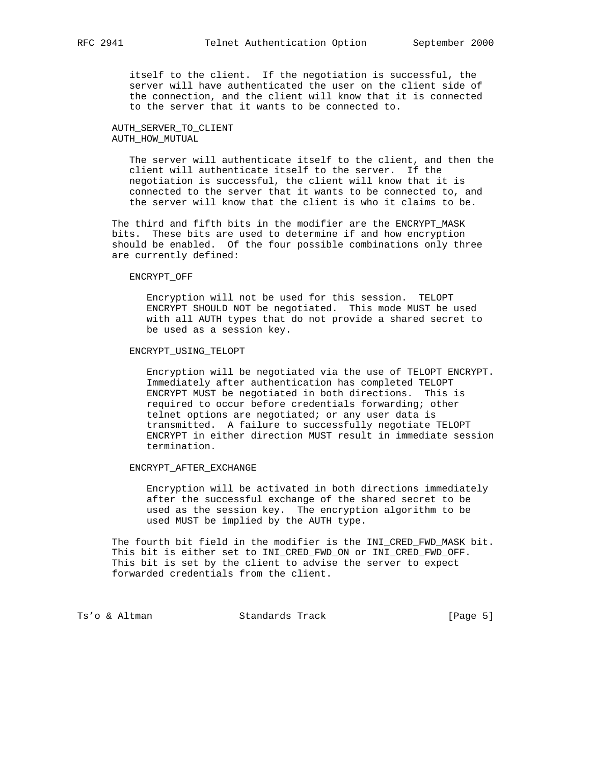itself to the client. If the negotiation is successful, the server will have authenticated the user on the client side of the connection, and the client will know that it is connected to the server that it wants to be connected to.

# AUTH\_SERVER\_TO\_CLIENT AUTH\_HOW\_MUTUAL

 The server will authenticate itself to the client, and then the client will authenticate itself to the server. If the negotiation is successful, the client will know that it is connected to the server that it wants to be connected to, and the server will know that the client is who it claims to be.

 The third and fifth bits in the modifier are the ENCRYPT\_MASK bits. These bits are used to determine if and how encryption should be enabled. Of the four possible combinations only three are currently defined:

#### ENCRYPT\_OFF

 Encryption will not be used for this session. TELOPT ENCRYPT SHOULD NOT be negotiated. This mode MUST be used with all AUTH types that do not provide a shared secret to be used as a session key.

## ENCRYPT\_USING\_TELOPT

 Encryption will be negotiated via the use of TELOPT ENCRYPT. Immediately after authentication has completed TELOPT ENCRYPT MUST be negotiated in both directions. This is required to occur before credentials forwarding; other telnet options are negotiated; or any user data is transmitted. A failure to successfully negotiate TELOPT ENCRYPT in either direction MUST result in immediate session termination.

## ENCRYPT\_AFTER\_EXCHANGE

 Encryption will be activated in both directions immediately after the successful exchange of the shared secret to be used as the session key. The encryption algorithm to be used MUST be implied by the AUTH type.

 The fourth bit field in the modifier is the INI\_CRED\_FWD\_MASK bit. This bit is either set to INI\_CRED\_FWD\_ON or INI\_CRED\_FWD\_OFF. This bit is set by the client to advise the server to expect forwarded credentials from the client.

Ts'o & Altman Standards Track [Page 5]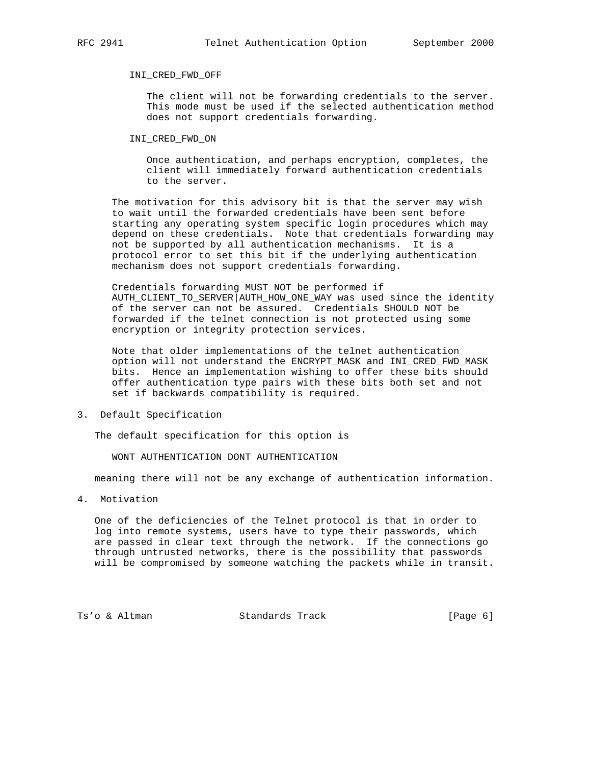#### INI\_CRED\_FWD\_OFF

 The client will not be forwarding credentials to the server. This mode must be used if the selected authentication method does not support credentials forwarding.

INI\_CRED\_FWD\_ON

 Once authentication, and perhaps encryption, completes, the client will immediately forward authentication credentials to the server.

 The motivation for this advisory bit is that the server may wish to wait until the forwarded credentials have been sent before starting any operating system specific login procedures which may depend on these credentials. Note that credentials forwarding may not be supported by all authentication mechanisms. It is a protocol error to set this bit if the underlying authentication mechanism does not support credentials forwarding.

 Credentials forwarding MUST NOT be performed if AUTH CLIENT TO SERVER AUTH HOW ONE WAY was used since the identity of the server can not be assured. Credentials SHOULD NOT be forwarded if the telnet connection is not protected using some encryption or integrity protection services.

 Note that older implementations of the telnet authentication option will not understand the ENCRYPT\_MASK and INI\_CRED\_FWD\_MASK bits. Hence an implementation wishing to offer these bits should offer authentication type pairs with these bits both set and not set if backwards compatibility is required.

3. Default Specification

The default specification for this option is

WONT AUTHENTICATION DONT AUTHENTICATION

meaning there will not be any exchange of authentication information.

4. Motivation

 One of the deficiencies of the Telnet protocol is that in order to log into remote systems, users have to type their passwords, which are passed in clear text through the network. If the connections go through untrusted networks, there is the possibility that passwords will be compromised by someone watching the packets while in transit.

Ts'o & Altman Standards Track [Page 6]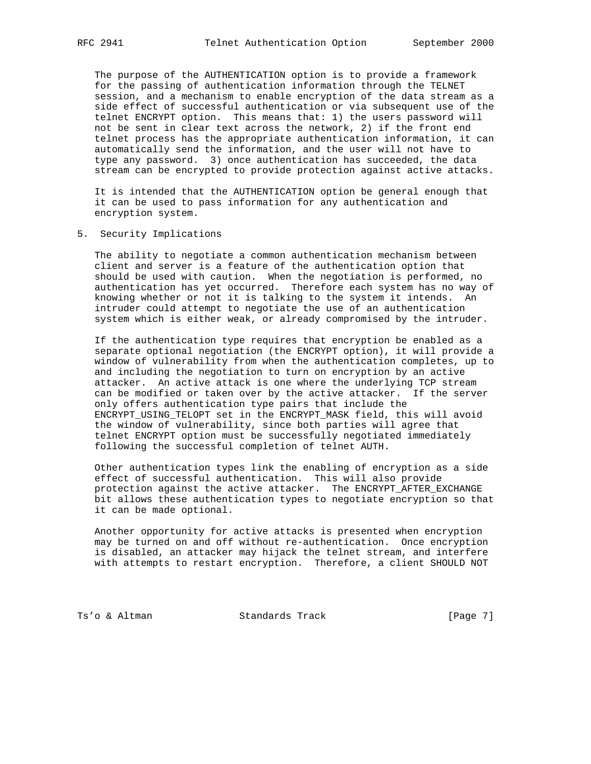The purpose of the AUTHENTICATION option is to provide a framework for the passing of authentication information through the TELNET session, and a mechanism to enable encryption of the data stream as a side effect of successful authentication or via subsequent use of the telnet ENCRYPT option. This means that: 1) the users password will not be sent in clear text across the network, 2) if the front end telnet process has the appropriate authentication information, it can automatically send the information, and the user will not have to type any password. 3) once authentication has succeeded, the data stream can be encrypted to provide protection against active attacks.

 It is intended that the AUTHENTICATION option be general enough that it can be used to pass information for any authentication and encryption system.

5. Security Implications

 The ability to negotiate a common authentication mechanism between client and server is a feature of the authentication option that should be used with caution. When the negotiation is performed, no authentication has yet occurred. Therefore each system has no way of knowing whether or not it is talking to the system it intends. An intruder could attempt to negotiate the use of an authentication system which is either weak, or already compromised by the intruder.

 If the authentication type requires that encryption be enabled as a separate optional negotiation (the ENCRYPT option), it will provide a window of vulnerability from when the authentication completes, up to and including the negotiation to turn on encryption by an active attacker. An active attack is one where the underlying TCP stream can be modified or taken over by the active attacker. If the server only offers authentication type pairs that include the ENCRYPT\_USING\_TELOPT set in the ENCRYPT\_MASK field, this will avoid the window of vulnerability, since both parties will agree that telnet ENCRYPT option must be successfully negotiated immediately following the successful completion of telnet AUTH.

 Other authentication types link the enabling of encryption as a side effect of successful authentication. This will also provide protection against the active attacker. The ENCRYPT\_AFTER\_EXCHANGE bit allows these authentication types to negotiate encryption so that it can be made optional.

 Another opportunity for active attacks is presented when encryption may be turned on and off without re-authentication. Once encryption is disabled, an attacker may hijack the telnet stream, and interfere with attempts to restart encryption. Therefore, a client SHOULD NOT

Ts'o & Altman Standards Track [Page 7]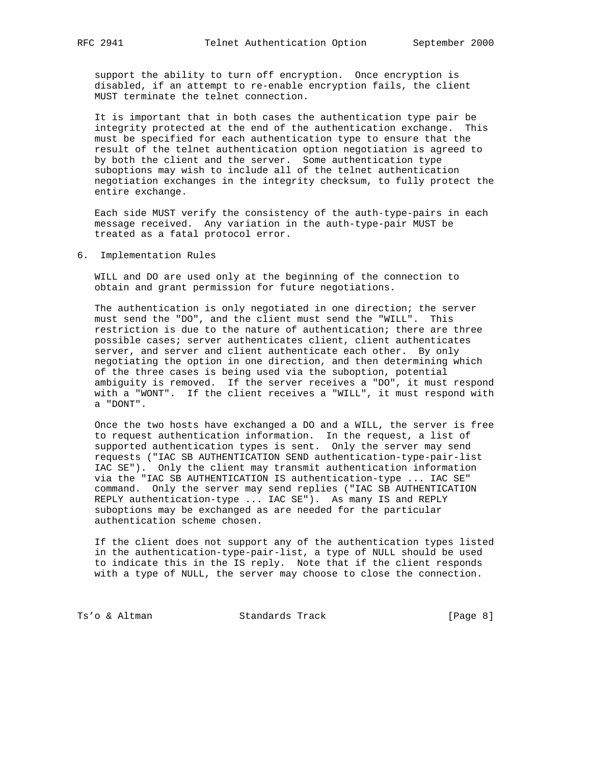support the ability to turn off encryption. Once encryption is disabled, if an attempt to re-enable encryption fails, the client MUST terminate the telnet connection.

 It is important that in both cases the authentication type pair be integrity protected at the end of the authentication exchange. This must be specified for each authentication type to ensure that the result of the telnet authentication option negotiation is agreed to by both the client and the server. Some authentication type suboptions may wish to include all of the telnet authentication negotiation exchanges in the integrity checksum, to fully protect the entire exchange.

 Each side MUST verify the consistency of the auth-type-pairs in each message received. Any variation in the auth-type-pair MUST be treated as a fatal protocol error.

# 6. Implementation Rules

 WILL and DO are used only at the beginning of the connection to obtain and grant permission for future negotiations.

 The authentication is only negotiated in one direction; the server must send the "DO", and the client must send the "WILL". This restriction is due to the nature of authentication; there are three possible cases; server authenticates client, client authenticates server, and server and client authenticate each other. By only negotiating the option in one direction, and then determining which of the three cases is being used via the suboption, potential ambiguity is removed. If the server receives a "DO", it must respond with a "WONT". If the client receives a "WILL", it must respond with a "DONT".

 Once the two hosts have exchanged a DO and a WILL, the server is free to request authentication information. In the request, a list of supported authentication types is sent. Only the server may send requests ("IAC SB AUTHENTICATION SEND authentication-type-pair-list IAC SE"). Only the client may transmit authentication information via the "IAC SB AUTHENTICATION IS authentication-type ... IAC SE" command. Only the server may send replies ("IAC SB AUTHENTICATION REPLY authentication-type ... IAC SE"). As many IS and REPLY suboptions may be exchanged as are needed for the particular authentication scheme chosen.

 If the client does not support any of the authentication types listed in the authentication-type-pair-list, a type of NULL should be used to indicate this in the IS reply. Note that if the client responds with a type of NULL, the server may choose to close the connection.

Ts'o & Altman Standards Track (Page 8)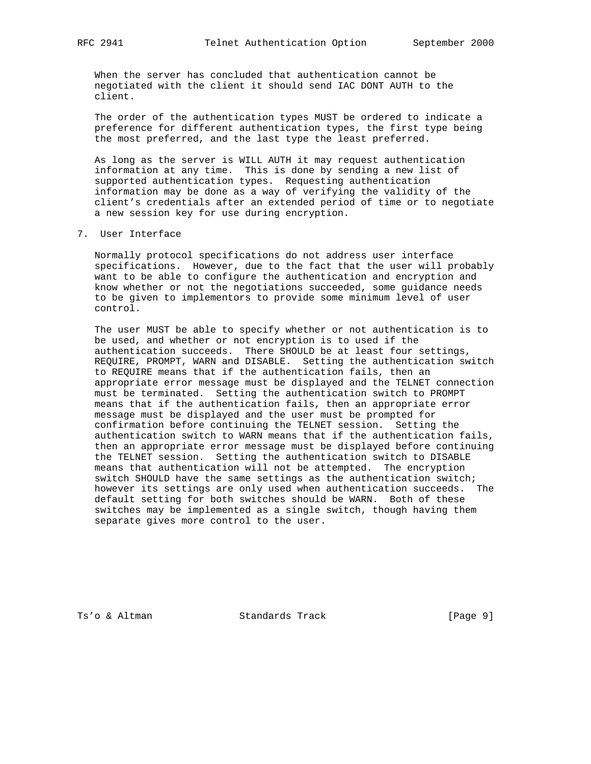When the server has concluded that authentication cannot be negotiated with the client it should send IAC DONT AUTH to the client.

 The order of the authentication types MUST be ordered to indicate a preference for different authentication types, the first type being the most preferred, and the last type the least preferred.

 As long as the server is WILL AUTH it may request authentication information at any time. This is done by sending a new list of supported authentication types. Requesting authentication information may be done as a way of verifying the validity of the client's credentials after an extended period of time or to negotiate a new session key for use during encryption.

## 7. User Interface

 Normally protocol specifications do not address user interface specifications. However, due to the fact that the user will probably want to be able to configure the authentication and encryption and know whether or not the negotiations succeeded, some guidance needs to be given to implementors to provide some minimum level of user control.

 The user MUST be able to specify whether or not authentication is to be used, and whether or not encryption is to used if the authentication succeeds. There SHOULD be at least four settings, REQUIRE, PROMPT, WARN and DISABLE. Setting the authentication switch to REQUIRE means that if the authentication fails, then an appropriate error message must be displayed and the TELNET connection must be terminated. Setting the authentication switch to PROMPT means that if the authentication fails, then an appropriate error message must be displayed and the user must be prompted for confirmation before continuing the TELNET session. Setting the authentication switch to WARN means that if the authentication fails, then an appropriate error message must be displayed before continuing the TELNET session. Setting the authentication switch to DISABLE means that authentication will not be attempted. The encryption switch SHOULD have the same settings as the authentication switch; however its settings are only used when authentication succeeds. The default setting for both switches should be WARN. Both of these switches may be implemented as a single switch, though having them separate gives more control to the user.

Ts'o & Altman Standards Track [Page 9]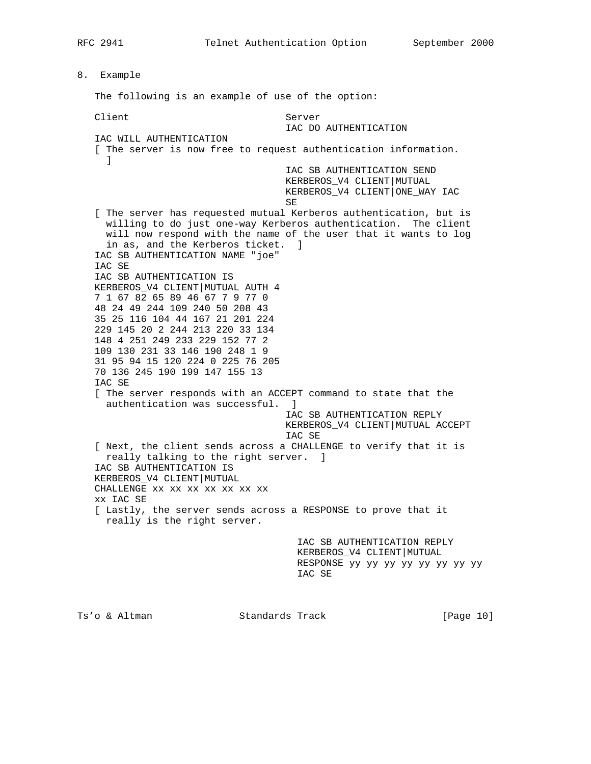8. Example The following is an example of use of the option: Client Server IAC DO AUTHENTICATION IAC WILL AUTHENTICATION [ The server is now free to request authentication information. ] IAC SB AUTHENTICATION SEND KERBEROS\_V4 CLIENT|MUTUAL KERBEROS\_V4 CLIENT|ONE\_WAY IAC SE [ The server has requested mutual Kerberos authentication, but is willing to do just one-way Kerberos authentication. The client will now respond with the name of the user that it wants to log in as, and the Kerberos ticket. ] IAC SB AUTHENTICATION NAME "joe" IAC SE IAC SB AUTHENTICATION IS KERBEROS\_V4 CLIENT|MUTUAL AUTH 4 7 1 67 82 65 89 46 67 7 9 77 0 48 24 49 244 109 240 50 208 43 35 25 116 104 44 167 21 201 224 229 145 20 2 244 213 220 33 134 148 4 251 249 233 229 152 77 2 109 130 231 33 146 190 248 1 9 31 95 94 15 120 224 0 225 76 205 70 136 245 190 199 147 155 13 IAC SE [ The server responds with an ACCEPT command to state that the authentication was successful. ] IAC SB AUTHENTICATION REPLY KERBEROS\_V4 CLIENT|MUTUAL ACCEPT IAC SE [ Next, the client sends across a CHALLENGE to verify that it is really talking to the right server. ] IAC SB AUTHENTICATION IS KERBEROS\_V4 CLIENT|MUTUAL CHALLENGE xx xx xx xx xx xx xx xx IAC SE [ Lastly, the server sends across a RESPONSE to prove that it really is the right server. IAC SB AUTHENTICATION REPLY KERBEROS\_V4 CLIENT|MUTUAL RESPONSE yy yy yy yy yy yy yy yy IAC SE

Ts'o & Altman  $\sim$  Standards Track [Page 10]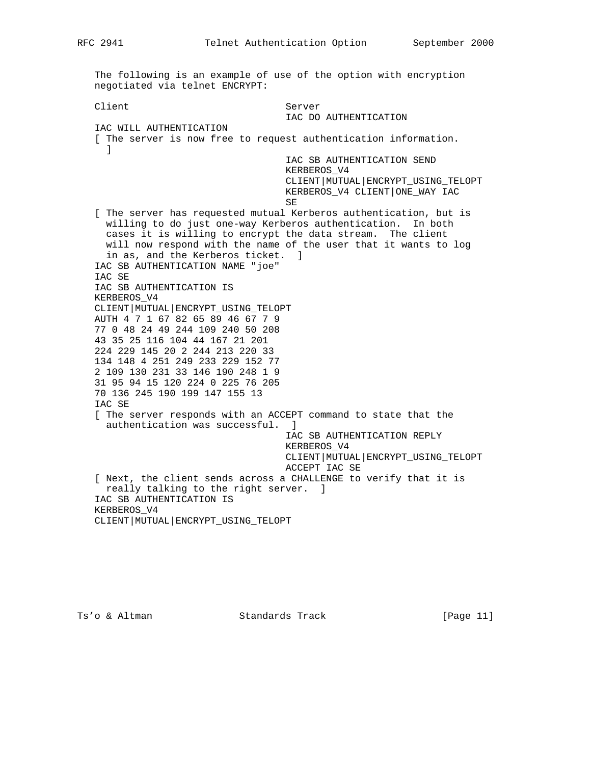The following is an example of use of the option with encryption negotiated via telnet ENCRYPT: Client Server IAC DO AUTHENTICATION IAC WILL AUTHENTICATION [ The server is now free to request authentication information. ] IAC SB AUTHENTICATION SEND KERBEROS\_V4 CLIENT|MUTUAL|ENCRYPT\_USING\_TELOPT KERBEROS\_V4 CLIENT|ONE\_WAY IAC SE [ The server has requested mutual Kerberos authentication, but is willing to do just one-way Kerberos authentication. In both cases it is willing to encrypt the data stream. The client will now respond with the name of the user that it wants to log in as, and the Kerberos ticket. ] IAC SB AUTHENTICATION NAME "joe" IAC SE IAC SB AUTHENTICATION IS KERBEROS\_V4 CLIENT|MUTUAL|ENCRYPT\_USING\_TELOPT AUTH 4 7 1 67 82 65 89 46 67 7 9 77 0 48 24 49 244 109 240 50 208 43 35 25 116 104 44 167 21 201 224 229 145 20 2 244 213 220 33 134 148 4 251 249 233 229 152 77 2 109 130 231 33 146 190 248 1 9 31 95 94 15 120 224 0 225 76 205 70 136 245 190 199 147 155 13 IAC SE [ The server responds with an ACCEPT command to state that the authentication was successful. ] IAC SB AUTHENTICATION REPLY KERBEROS\_V4 CLIENT|MUTUAL|ENCRYPT\_USING\_TELOPT ACCEPT IAC SE [ Next, the client sends across a CHALLENGE to verify that it is really talking to the right server. ] IAC SB AUTHENTICATION IS KERBEROS\_V4 CLIENT|MUTUAL|ENCRYPT\_USING\_TELOPT

Ts'o & Altman Standards Track [Page 11]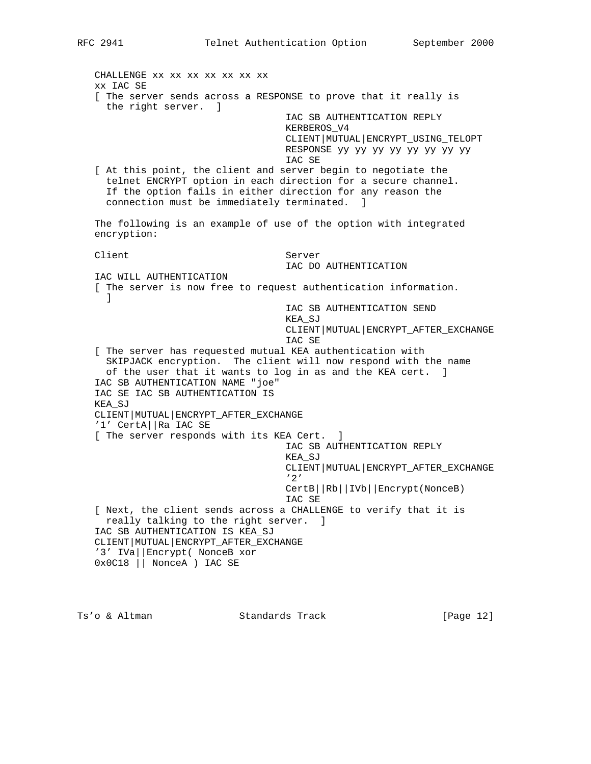CHALLENGE xx xx xx xx xx xx xx xx IAC SE [ The server sends across a RESPONSE to prove that it really is the right server. ] IAC SB AUTHENTICATION REPLY KERBEROS\_V4 CLIENT|MUTUAL|ENCRYPT\_USING\_TELOPT RESPONSE yy yy yy yy yy yy yy yy IAC SE [ At this point, the client and server begin to negotiate the telnet ENCRYPT option in each direction for a secure channel. If the option fails in either direction for any reason the connection must be immediately terminated. ] The following is an example of use of the option with integrated encryption: Client Server IAC DO AUTHENTICATION IAC WILL AUTHENTICATION [ The server is now free to request authentication information. ] IAC SB AUTHENTICATION SEND KEA\_SJ CLIENT|MUTUAL|ENCRYPT\_AFTER\_EXCHANGE IAC SE [ The server has requested mutual KEA authentication with SKIPJACK encryption. The client will now respond with the name of the user that it wants to log in as and the KEA cert. ] IAC SB AUTHENTICATION NAME "joe" IAC SE IAC SB AUTHENTICATION IS KEA\_SJ CLIENT|MUTUAL|ENCRYPT\_AFTER\_EXCHANGE '1' CertA||Ra IAC SE [ The server responds with its KEA Cert. ] IAC SB AUTHENTICATION REPLY KEA\_SJ CLIENT|MUTUAL|ENCRYPT\_AFTER\_EXCHANGE '2' CertB||Rb||IVb||Encrypt(NonceB) IAC SE [ Next, the client sends across a CHALLENGE to verify that it is really talking to the right server. ] IAC SB AUTHENTICATION IS KEA\_SJ CLIENT|MUTUAL|ENCRYPT\_AFTER\_EXCHANGE '3' IVa||Encrypt( NonceB xor 0x0C18 || NonceA ) IAC SE

Ts'o & Altman Standards Track [Page 12]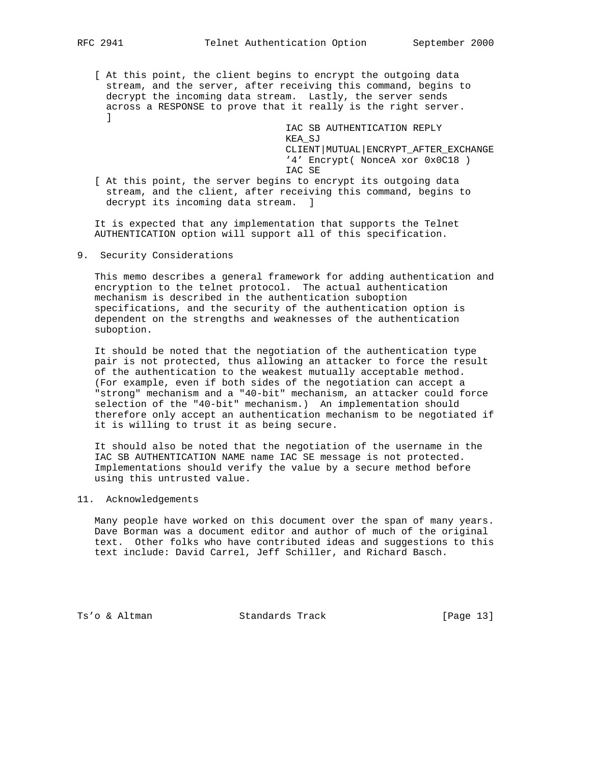[ At this point, the client begins to encrypt the outgoing data stream, and the server, after receiving this command, begins to decrypt the incoming data stream. Lastly, the server sends across a RESPONSE to prove that it really is the right server.  $\mathbb{I}$ 

> IAC SB AUTHENTICATION REPLY KEA\_SJ CLIENT|MUTUAL|ENCRYPT\_AFTER\_EXCHANGE '4' Encrypt( NonceA xor 0x0C18 ) IAC SE

 [ At this point, the server begins to encrypt its outgoing data stream, and the client, after receiving this command, begins to decrypt its incoming data stream. ]

 It is expected that any implementation that supports the Telnet AUTHENTICATION option will support all of this specification.

9. Security Considerations

 This memo describes a general framework for adding authentication and encryption to the telnet protocol. The actual authentication mechanism is described in the authentication suboption specifications, and the security of the authentication option is dependent on the strengths and weaknesses of the authentication suboption.

 It should be noted that the negotiation of the authentication type pair is not protected, thus allowing an attacker to force the result of the authentication to the weakest mutually acceptable method. (For example, even if both sides of the negotiation can accept a "strong" mechanism and a "40-bit" mechanism, an attacker could force selection of the "40-bit" mechanism.) An implementation should therefore only accept an authentication mechanism to be negotiated if it is willing to trust it as being secure.

 It should also be noted that the negotiation of the username in the IAC SB AUTHENTICATION NAME name IAC SE message is not protected. Implementations should verify the value by a secure method before using this untrusted value.

11. Acknowledgements

 Many people have worked on this document over the span of many years. Dave Borman was a document editor and author of much of the original text. Other folks who have contributed ideas and suggestions to this text include: David Carrel, Jeff Schiller, and Richard Basch.

Ts'o & Altman Standards Track [Page 13]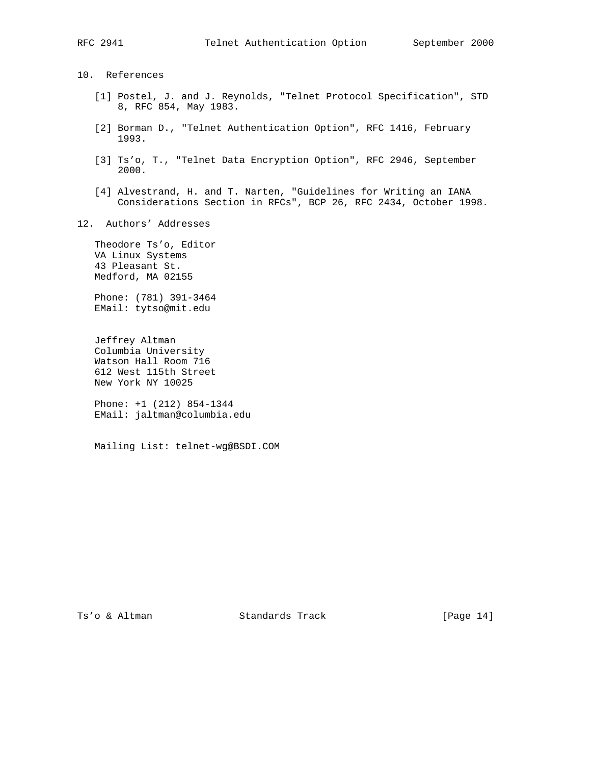10. References

- [1] Postel, J. and J. Reynolds, "Telnet Protocol Specification", STD 8, RFC 854, May 1983.
- [2] Borman D., "Telnet Authentication Option", RFC 1416, February 1993.
- [3] Ts'o, T., "Telnet Data Encryption Option", RFC 2946, September 2000.
- [4] Alvestrand, H. and T. Narten, "Guidelines for Writing an IANA Considerations Section in RFCs", BCP 26, RFC 2434, October 1998.
- 12. Authors' Addresses

 Theodore Ts'o, Editor VA Linux Systems 43 Pleasant St. Medford, MA 02155

 Phone: (781) 391-3464 EMail: tytso@mit.edu

 Jeffrey Altman Columbia University Watson Hall Room 716 612 West 115th Street New York NY 10025

 Phone: +1 (212) 854-1344 EMail: jaltman@columbia.edu

Mailing List: telnet-wg@BSDI.COM

Ts'o & Altman Standards Track [Page 14]